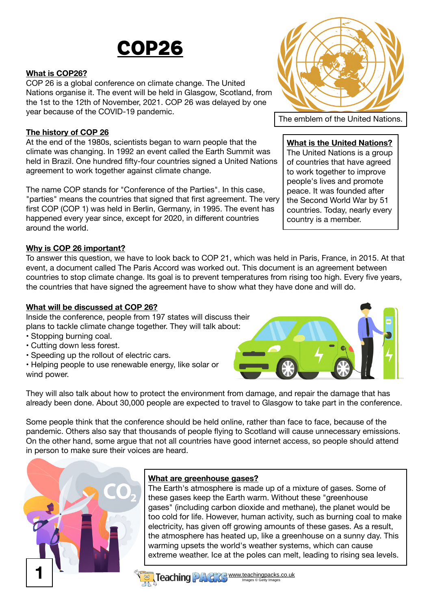# COP26

### **What is COP26?**

COP 26 is a global conference on climate change. The United Nations organise it. The event will be held in Glasgow, Scotland, from the 1st to the 12th of November, 2021. COP 26 was delayed by one year because of the COVID-19 pandemic.

### **The history of COP 26**

At the end of the 1980s, scientists began to warn people that the climate was changing. In 1992 an event called the Earth Summit was held in Brazil. One hundred fifty-four countries signed a United Nations agreement to work together against climate change.

The name COP stands for "Conference of the Parties". In this case, "parties" means the countries that signed that first agreement. The very first COP (COP 1) was held in Berlin, Germany, in 1995. The event has happened every year since, except for 2020, in different countries around the world.

### **Why is COP 26 important?**

To answer this question, we have to look back to COP 21, which was held in Paris, France, in 2015. At that event, a document called The Paris Accord was worked out. This document is an agreement between countries to stop climate change. Its goal is to prevent temperatures from rising too high. Every five years, the countries that have signed the agreement have to show what they have done and will do.

### **What will be discussed at COP 26?**

Inside the conference, people from 197 states will discuss their plans to tackle climate change together. They will talk about:

- Stopping burning coal.
- Cutting down less forest.
- Speeding up the rollout of electric cars.

• Helping people to use renewable energy, like solar or wind power.

They will also talk about how to protect the environment from damage, and repair the damage that has already been done. About 30,000 people are expected to travel to Glasgow to take part in the conference.

Some people think that the conference should be held online, rather than face to face, because of the pandemic. Others also say that thousands of people flying to Scotland will cause unnecessary emissions. On the other hand, some argue that not all countries have good internet access, so people should attend in person to make sure their voices are heard.



### **What are greenhouse gases?**

The Earth's atmosphere is made up of a mixture of gases. Some of these gases keep the Earth warm. Without these "greenhouse gases" (including carbon dioxide and methane), the planet would be too cold for life. However, human activity, such as burning coal to make electricity, has given off growing amounts of these gases. As a result, the atmosphere has heated up, like a greenhouse on a sunny day. This warming upsets the world's weather systems, which can cause extreme weather. Ice at the poles can melt, leading to rising sea levels.



The emblem of the United Nations.

#### **What is the United Nations?**

The United Nations is a group of countries that have agreed to work together to improve people's lives and promote peace. It was founded after the Second World War by 51 countries. Today, nearly every country is a member.



www.teachingpacks.co.uk Images © Getty Images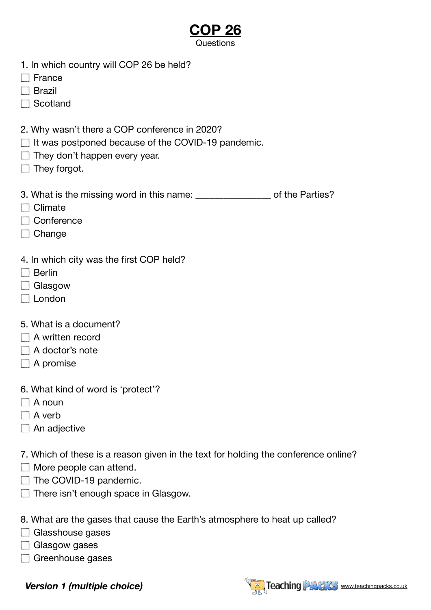- 1. In which country will COP 26 be held?
- $\Box$  France
- $\Box$  Brazil
- □ Scotland
- 2. Why wasn't there a COP conference in 2020?
- $\Box$  It was postponed because of the COVID-19 pandemic.
- $\Box$  They don't happen every year.
- $\Box$  They forgot.
- 3. What is the missing word in this name:  $\qquad \qquad$  of the Parties?
- $\Box$  Climate
- □ Conference
- $\Box$  Change
- 4. In which city was the first COP held?
- □ Berlin
- □ Glasgow
- □ London
- 5. What is a document?
- A written record
- A doctor's note
- $\Box$  A promise
- 6. What kind of word is 'protect'?
- $\Box$  A noun
- $\Box$  A verb
- $\Box$  An adjective
- 7. Which of these is a reason given in the text for holding the conference online?
- More people can attend.
- $\Box$  The COVID-19 pandemic.
- $\Box$  There isn't enough space in Glasgow.

8. What are the gases that cause the Earth's atmosphere to heat up called?

- Glasshouse gases
- $\Box$  Glasgow gases
- Greenhouse gases

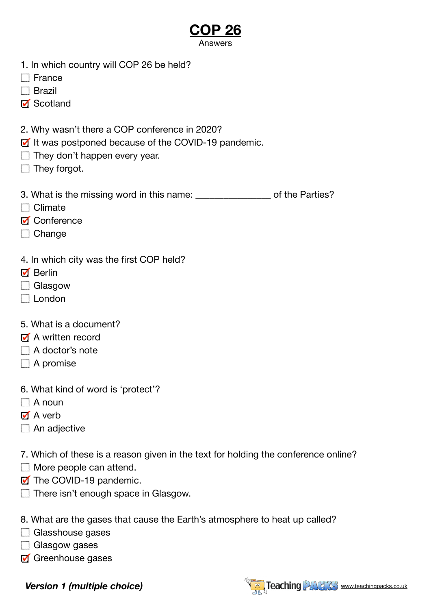### **COP 26 Answers**

- 1. In which country will COP 26 be held?
- $\Box$  France
- $\Box$  Brazil
- Scotland
- 2. Why wasn't there a COP conference in 2020?
- If It was postponed because of the COVID-19 pandemic.
- $\Box$  They don't happen every year.
- $\Box$  They forgot.
- 3. What is the missing word in this name:  $\qquad \qquad$  of the Parties?
- $\Box$  Climate
- **M** Conference
- $\Box$  Change
- 4. In which city was the first COP held?
- **Ø** Berlin
- □ Glasgow
- $\Box$  London
- 5. What is a document?
- **M** A written record
- A doctor's note
- $\Box$  A promise
- 6. What kind of word is 'protect'?
- $\Box$  A noun
- M A verb
- $\Box$  An adjective
- 7. Which of these is a reason given in the text for holding the conference online?
- More people can attend.
- The COVID-19 pandemic.
- $\Box$  There isn't enough space in Glasgow.
- 8. What are the gases that cause the Earth's atmosphere to heat up called?
- Glasshouse gases
- $\Box$  Glasgow gases
- Greenhouse gases

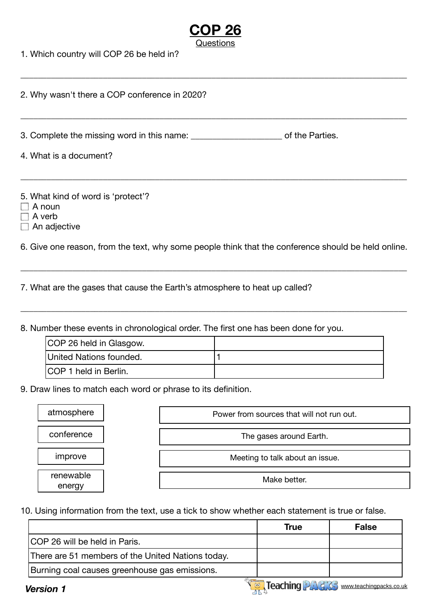| 1. Which country will COP 26 be held in?                             |                 |
|----------------------------------------------------------------------|-----------------|
| 2. Why wasn't there a COP conference in 2020?                        |                 |
| 3. Complete the missing word in this name:<br>4. What is a document? | of the Parties. |
| 5. What kind of word is 'protect'?<br>$\Lambda$ noun                 |                 |

- $\Box$  A noun
- $\Box$  A verb
- $\Box$  An adjective

6. Give one reason, from the text, why some people think that the conference should be held online.

\_\_\_\_\_\_\_\_\_\_\_\_\_\_\_\_\_\_\_\_\_\_\_\_\_\_\_\_\_\_\_\_\_\_\_\_\_\_\_\_\_\_\_\_\_\_\_\_\_\_\_\_\_\_\_\_\_\_\_\_\_\_\_\_\_\_\_\_\_\_\_\_\_\_\_\_\_\_\_\_\_\_\_\_\_\_\_\_\_

\_\_\_\_\_\_\_\_\_\_\_\_\_\_\_\_\_\_\_\_\_\_\_\_\_\_\_\_\_\_\_\_\_\_\_\_\_\_\_\_\_\_\_\_\_\_\_\_\_\_\_\_\_\_\_\_\_\_\_\_\_\_\_\_\_\_\_\_\_\_\_\_\_\_\_\_\_\_\_\_\_\_\_\_\_\_\_\_\_

7. What are the gases that cause the Earth's atmosphere to heat up called?

8. Number these events in chronological order. The first one has been done for you.

| COP 26 held in Glasgow.       |  |
|-------------------------------|--|
| United Nations founded.       |  |
| <b>ICOP 1 held in Berlin.</b> |  |

9. Draw lines to match each word or phrase to its definition.

| atmosphere          | Power from sources that will not run out. |
|---------------------|-------------------------------------------|
| conference          | The gases around Earth.                   |
| improve             | Meeting to talk about an issue.           |
| renewable<br>energy | Make better.                              |

10. Using information from the text, use a tick to show whether each statement is true or false.

|                                                   | True | <b>False</b>                                  |
|---------------------------------------------------|------|-----------------------------------------------|
| <b>COP 26 will be held in Paris.</b>              |      |                                               |
| There are 51 members of the United Nations today. |      |                                               |
| Burning coal causes greenhouse gas emissions.     |      |                                               |
| Version 1                                         |      | <b>Teaching PAGAS</b> www.teachingpacks.co.uk |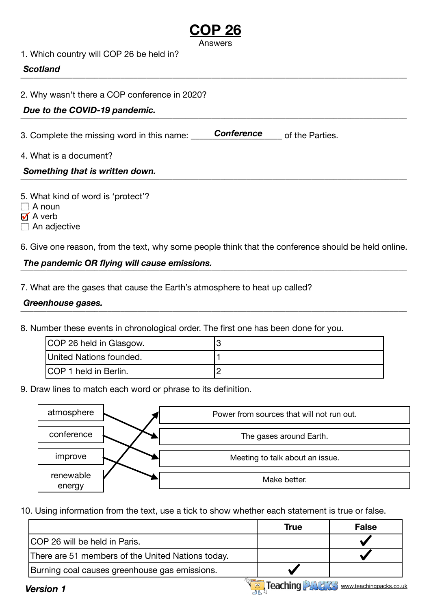|                                               | Answers           |                 |
|-----------------------------------------------|-------------------|-----------------|
| 1. Which country will COP 26 be held in?      |                   |                 |
| <b>Scotland</b>                               |                   |                 |
| 2. Why wasn't there a COP conference in 2020? |                   |                 |
| Due to the COVID-19 pandemic.                 |                   |                 |
| 3. Complete the missing word in this name:    | <b>Conference</b> | of the Parties. |
| 4. What is a document?                        |                   |                 |
| Something that is written down.               |                   |                 |
|                                               |                   |                 |

**COP 26** 

5. What kind of word is 'protect'?

 $\Box$  A noun

 $\blacksquare$  A verb

 $\Box$  An adjective

6. Give one reason, from the text, why some people think that the conference should be held online.

## \_\_\_\_\_\_\_\_\_\_\_\_\_\_\_\_\_\_\_\_\_\_\_\_\_\_\_\_\_\_\_\_\_\_\_\_\_\_\_\_\_\_\_\_\_\_\_\_\_\_\_\_\_\_\_\_\_\_\_\_\_\_\_\_\_\_\_\_\_\_\_\_\_\_\_\_\_\_\_\_\_\_\_\_\_\_\_\_\_ *The pandemic OR flying will cause emissions.*

7. What are the gases that cause the Earth's atmosphere to heat up called?

#### \_\_\_\_\_\_\_\_\_\_\_\_\_\_\_\_\_\_\_\_\_\_\_\_\_\_\_\_\_\_\_\_\_\_\_\_\_\_\_\_\_\_\_\_\_\_\_\_\_\_\_\_\_\_\_\_\_\_\_\_\_\_\_\_\_\_\_\_\_\_\_\_\_\_\_\_\_\_\_\_\_\_\_\_\_\_\_\_\_ *Greenhouse gases.*

8. Number these events in chronological order. The first one has been done for you.

| COP 26 held in Glasgow.       |  |
|-------------------------------|--|
| United Nations founded.       |  |
| <b>ICOP 1 held in Berlin.</b> |  |

9. Draw lines to match each word or phrase to its definition.

| atmosphere          | Power from sources that will not run out. |
|---------------------|-------------------------------------------|
| conference          | The gases around Earth.                   |
| improve             | Meeting to talk about an issue.           |
| renewable<br>energy | Make better.                              |

10. Using information from the text, use a tick to show whether each statement is true or false.

|                                                   | True | <b>False</b> |
|---------------------------------------------------|------|--------------|
| ICOP 26 will be held in Paris.                    |      |              |
| There are 51 members of the United Nations today. |      |              |
| Burning coal causes greenhouse gas emissions.     |      |              |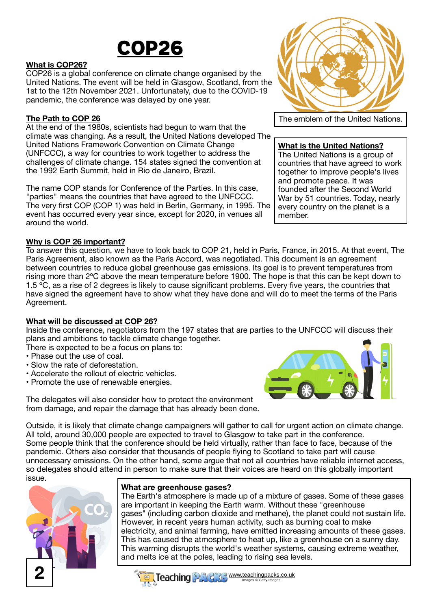

#### **What is COP26?**

COP26 is a global conference on climate change organised by the United Nations. The event will be held in Glasgow, Scotland, from the 1st to the 12th November 2021. Unfortunately, due to the COVID-19 pandemic, the conference was delayed by one year.

#### **The Path to COP 26**

At the end of the 1980s, scientists had begun to warn that the climate was changing. As a result, the United Nations developed The United Nations Framework Convention on Climate Change (UNFCCC), a way for countries to work together to address the challenges of climate change. 154 states signed the convention at the 1992 Earth Summit, held in Rio de Janeiro, Brazil.

The name COP stands for Conference of the Parties. In this case, "parties" means the countries that have agreed to the UNFCCC. The very first COP (COP 1) was held in Berlin, Germany, in 1995. The event has occurred every year since, except for 2020, in venues all around the world.

#### **Why is COP 26 important?**

To answer this question, we have to look back to COP 21, held in Paris, France, in 2015. At that event, The Paris Agreement, also known as the Paris Accord, was negotiated. This document is an agreement between countries to reduce global greenhouse gas emissions. Its goal is to prevent temperatures from rising more than 2ºC above the mean temperature before 1900. The hope is that this can be kept down to 1.5 °C, as a rise of 2 degrees is likely to cause significant problems. Every five years, the countries that have signed the agreement have to show what they have done and will do to meet the terms of the Paris Agreement.

#### **What will be discussed at COP 26?**

Inside the conference, negotiators from the 197 states that are parties to the UNFCCC will discuss their plans and ambitions to tackle climate change together.

- There is expected to be a focus on plans to:
- Phase out the use of coal.
- Slow the rate of deforestation.
- Accelerate the rollout of electric vehicles.
- Promote the use of renewable energies.

The delegates will also consider how to protect the environment from damage, and repair the damage that has already been done.

Outside, it is likely that climate change campaigners will gather to call for urgent action on climate change. All told, around 30,000 people are expected to travel to Glasgow to take part in the conference. Some people think that the conference should be held virtually, rather than face to face, because of the pandemic. Others also consider that thousands of people flying to Scotland to take part will cause unnecessary emissions. On the other hand, some argue that not all countries have reliable internet access, so delegates should attend in person to make sure that their voices are heard on this globally important issue.



### **What are greenhouse gases?**

The Earth's atmosphere is made up of a mixture of gases. Some of these gases are important in keeping the Earth warm. Without these "greenhouse gases" (including carbon dioxide and methane), the planet could not sustain life. However, in recent years human activity, such as burning coal to make electricity, and animal farming, have emitted increasing amounts of these gases. This has caused the atmosphere to heat up, like a greenhouse on a sunny day. This warming disrupts the world's weather systems, causing extreme weather, and melts ice at the poles, leading to rising sea levels.

$$
\left(\begin{pmatrix} 1 & 0 \\ 0 & 1 \end{pmatrix}\right)
$$

The emblem of the United Nations.

#### **What is the United Nations?**

The United Nations is a group of countries that have agreed to work together to improve people's lives and promote peace. It was founded after the Second World War by 51 countries. Today, nearly every country on the planet is a member.



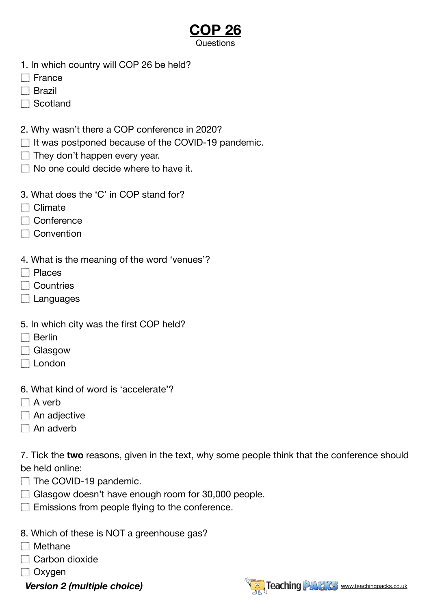- 1. In which country will COP 26 be held?
- $\Box$  France
- $\Box$  Brazil
- □ Scotland
- 2. Why wasn't there a COP conference in 2020?
- $\Box$  It was postponed because of the COVID-19 pandemic.
- $\Box$  They don't happen every year.
- $\Box$  No one could decide where to have it.
- 3. What does the 'C' in COP stand for?
- $\Box$  Climate
- □ Conference
- $\Box$  Convention
- 4. What is the meaning of the word 'venues'?
- $\Box$  Places
- □ Countries
- $\Box$  Languages
- 5. In which city was the first COP held?
- $\Box$  Berlin
- □ Glasgow
- $\Box$  London
- 6. What kind of word is 'accelerate'?
- $\Box$  A verb
- $\Box$  An adjective
- $\Box$  An adverb

7. Tick the **two** reasons, given in the text, why some people think that the conference should be held online:

- $\Box$  The COVID-19 pandemic.
- Glasgow doesn't have enough room for 30,000 people.
- $\Box$  Emissions from people flying to the conference.
- 8. Which of these is NOT a greenhouse gas?
- $\Box$  Methane
- Carbon dioxide
- □ Oxygen
	-

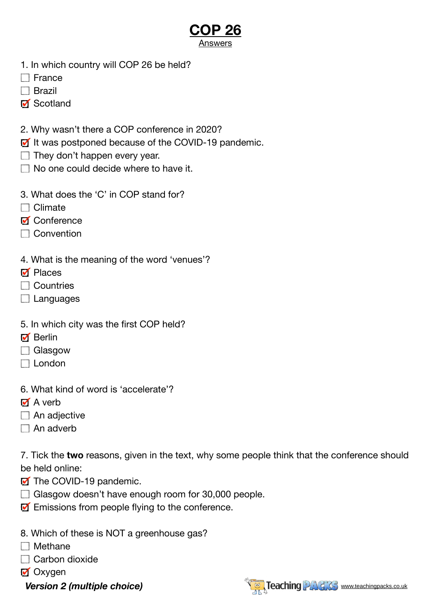### **COP 26 Answers**

- 1. In which country will COP 26 be held?
- $\Box$  France
- $\Box$  Brazil
- Scotland
- 2. Why wasn't there a COP conference in 2020?
- If It was postponed because of the COVID-19 pandemic.
- $\Box$  They don't happen every year.
- $\Box$  No one could decide where to have it.
- 3. What does the 'C' in COP stand for?
- $\Box$  Climate
- **M** Conference
- $\Box$  Convention
- 4. What is the meaning of the word 'venues'?
- **M** Places
- □ Countries
- $\Box$  Languages
- 5. In which city was the first COP held?
- $\blacksquare$  Berlin
- □ Glasgow
- $\Box$  London
- 6. What kind of word is 'accelerate'?
- $\overline{M}$  A verb
- $\Box$  An adjective
- $\Box$  An adverb

7. Tick the **two** reasons, given in the text, why some people think that the conference should be held online:

- **T** The COVID-19 pandemic.
- Glasgow doesn't have enough room for 30,000 people.
- $\mathbf{\mathcal{F}}$  Emissions from people flying to the conference.
- 8. Which of these is NOT a greenhouse gas?
- $\Box$  Methane
- Carbon dioxide
- **M** Oxygen
	-

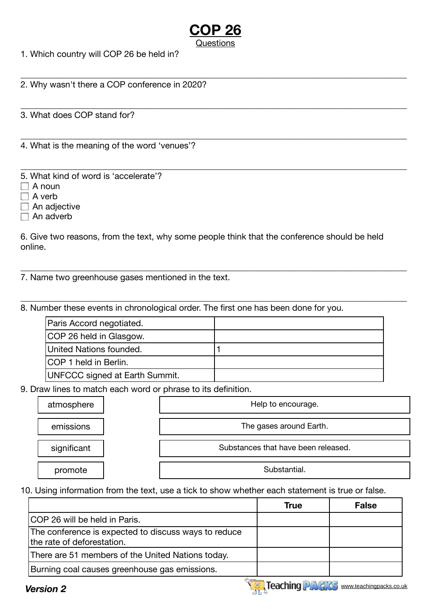\_\_\_\_\_\_\_\_\_\_\_\_\_\_\_\_\_\_\_\_\_\_\_\_\_\_\_\_\_\_\_\_\_\_\_\_\_\_\_\_\_\_\_\_\_\_\_\_\_\_\_\_\_\_\_\_\_\_\_\_\_\_\_\_\_\_\_\_\_\_\_\_\_\_\_\_\_\_\_\_\_\_\_\_\_\_\_\_\_

\_\_\_\_\_\_\_\_\_\_\_\_\_\_\_\_\_\_\_\_\_\_\_\_\_\_\_\_\_\_\_\_\_\_\_\_\_\_\_\_\_\_\_\_\_\_\_\_\_\_\_\_\_\_\_\_\_\_\_\_\_\_\_\_\_\_\_\_\_\_\_\_\_\_\_\_\_\_\_\_\_\_\_\_\_\_\_\_\_

\_\_\_\_\_\_\_\_\_\_\_\_\_\_\_\_\_\_\_\_\_\_\_\_\_\_\_\_\_\_\_\_\_\_\_\_\_\_\_\_\_\_\_\_\_\_\_\_\_\_\_\_\_\_\_\_\_\_\_\_\_\_\_\_\_\_\_\_\_\_\_\_\_\_\_\_\_\_\_\_\_\_\_\_\_\_\_\_\_

1. Which country will COP 26 be held in?

\_\_\_\_\_\_\_\_\_\_\_\_\_\_\_\_\_\_\_\_\_\_\_\_\_\_\_\_\_\_\_\_\_\_\_\_\_\_\_\_\_\_\_\_\_\_\_\_\_\_\_\_\_\_\_\_\_\_\_\_\_\_\_\_\_\_\_\_\_\_\_\_\_\_\_\_\_\_\_\_\_\_\_\_\_\_\_\_\_ 2. Why wasn't there a COP conference in 2020?

3. What does COP stand for?

4. What is the meaning of the word 'venues'?

5. What kind of word is 'accelerate'?

 $\Box$  A noun

 $\Box$  A verb

 $\Box$  An adjective

 $\Box$  An adverb

6. Give two reasons, from the text, why some people think that the conference should be held online.

\_\_\_\_\_\_\_\_\_\_\_\_\_\_\_\_\_\_\_\_\_\_\_\_\_\_\_\_\_\_\_\_\_\_\_\_\_\_\_\_\_\_\_\_\_\_\_\_\_\_\_\_\_\_\_\_\_\_\_\_\_\_\_\_\_\_\_\_\_\_\_\_\_\_\_\_\_\_\_\_\_\_\_\_\_\_\_\_\_

\_\_\_\_\_\_\_\_\_\_\_\_\_\_\_\_\_\_\_\_\_\_\_\_\_\_\_\_\_\_\_\_\_\_\_\_\_\_\_\_\_\_\_\_\_\_\_\_\_\_\_\_\_\_\_\_\_\_\_\_\_\_\_\_\_\_\_\_\_\_\_\_\_\_\_\_\_\_\_\_\_\_\_\_\_\_\_\_\_

7. Name two greenhouse gases mentioned in the text.

8. Number these events in chronological order. The first one has been done for you.

| Paris Accord negotiated.              |  |
|---------------------------------------|--|
| COP 26 held in Glasgow.               |  |
| United Nations founded.               |  |
| ICOP 1 held in Berlin.                |  |
| <b>UNFCCC signed at Earth Summit.</b> |  |

9. Draw lines to match each word or phrase to its definition.

| atmosphere  | Help to encourage.                  |
|-------------|-------------------------------------|
| emissions   | The gases around Earth.             |
| significant | Substances that have been released. |
| promote     | Substantial.                        |

10. Using information from the text, use a tick to show whether each statement is true or false.

|                                                                                    | <b>True</b> | <b>False</b> |
|------------------------------------------------------------------------------------|-------------|--------------|
| ICOP 26 will be held in Paris.                                                     |             |              |
| The conference is expected to discuss ways to reduce<br>the rate of deforestation. |             |              |
| There are 51 members of the United Nations today.                                  |             |              |
| Burning coal causes greenhouse gas emissions.                                      |             |              |